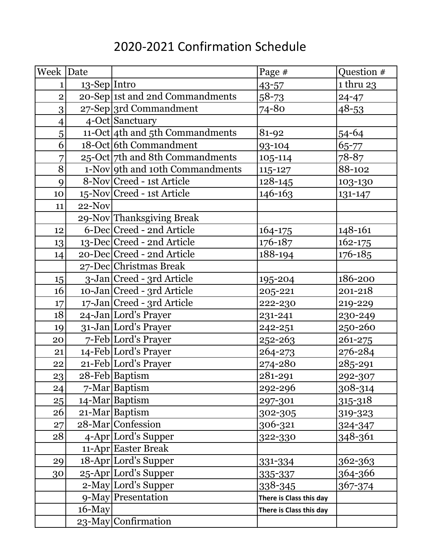## 2020-2021 Confirmation Schedule

| Week Date      |                 |                                 | Page #                  | Question #  |
|----------------|-----------------|---------------------------------|-------------------------|-------------|
| 1              | $13$ -Sep Intro |                                 | $43 - 57$               | 1 thru 23   |
| $\overline{2}$ |                 | 20-Sep 1st and 2nd Commandments | $58 - 73$               | $24 - 47$   |
| 3              |                 | 27-Sep 3rd Commandment          | 74-80                   | $48 - 53$   |
| $\overline{4}$ |                 | 4-Oct Sanctuary                 |                         |             |
| 5              |                 | 11-Oct 4th and 5th Commandments | 81-92                   | $54 - 64$   |
| 6              |                 | 18-Oct 6th Commandment          | 93-104                  | 65-77       |
| 7              |                 | 25-Oct 7th and 8th Commandments | 105-114                 | 78-87       |
| $\overline{8}$ |                 | 1-Nov 9th and 10th Commandments | 115-127                 | 88-102      |
| 9              |                 | 8-Nov Creed - 1st Article       | 128-145                 | 103-130     |
| 10             |                 | 15-Nov Creed - 1st Article      | 146-163                 | 131-147     |
| 11             | $22-Nov$        |                                 |                         |             |
|                |                 | 29-Nov Thanksgiving Break       |                         |             |
| 12             |                 | 6-Dec Creed - 2nd Article       | 164-175                 | 148-161     |
| 13             |                 | 13-Dec Creed - 2nd Article      | 176-187                 | $162 - 175$ |
| 14             |                 | 20-Dec Creed - 2nd Article      | 188-194                 | 176-185     |
|                |                 | 27-Dec Christmas Break          |                         |             |
| 15             |                 | 3-Jan Creed - 3rd Article       | 195-204                 | 186-200     |
| 16             |                 | 10-Jan Creed - 3rd Article      | 205-221                 | 201-218     |
| 17             |                 | 17-Jan Creed - 3rd Article      | 222-230                 | 219-229     |
| 18             |                 | 24-Jan Lord's Prayer            | 231-241                 | 230-249     |
| 19             |                 | 31-Jan Lord's Prayer            | 242-251                 | 250-260     |
| 20             |                 | 7-Feb Lord's Prayer             | 252-263                 | 261-275     |
| 21             |                 | 14-Feb Lord's Prayer            | 264-273                 | 276-284     |
| 22             |                 | 21-Feb Lord's Prayer            | 274-280                 | 285-291     |
| 23             |                 | 28-Feb Baptism                  | 281-291                 | 292-307     |
| 24             |                 | 7-Mar Baptism                   | 292-296                 | 308-314     |
| 25             |                 | 14-Mar Baptism                  | 297-301                 | 315-318     |
| 26             |                 | 21-Mar Baptism                  | 302-305                 | 319-323     |
| 27             |                 | 28-Mar Confession               | 306-321                 | 324-347     |
| 28             |                 | 4-Apr Lord's Supper             | 322-330                 | 348-361     |
|                |                 | 11-Apr Easter Break             |                         |             |
| 29             |                 | 18-Apr Lord's Supper            | 331-334                 | 362-363     |
| 30             |                 | 25-Apr Lord's Supper            | 335-337                 | 364-366     |
|                |                 | 2-May Lord's Supper             | 338-345                 | 367-374     |
|                |                 | 9-May Presentation              | There is Class this day |             |
|                | $16$ -May       |                                 | There is Class this day |             |
|                |                 | 23-May Confirmation             |                         |             |